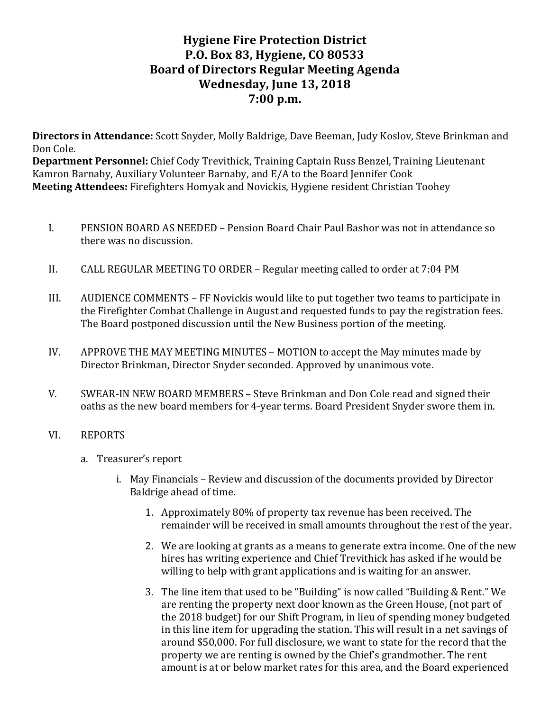# **Hygiene Fire Protection District P.O. Box 83, Hygiene, CO 80533 Board of Directors Regular Meeting Agenda Wednesday, June 13, 2018 7:00 p.m.**

**Directors in Attendance:** Scott Snyder, Molly Baldrige, Dave Beeman, Judy Koslov, Steve Brinkman and Don Cole.

**Department Personnel:** Chief Cody Trevithick, Training Captain Russ Benzel, Training Lieutenant Kamron Barnaby, Auxiliary Volunteer Barnaby, and E/A to the Board Jennifer Cook **Meeting Attendees:** Firefighters Homyak and Novickis, Hygiene resident Christian Toohey

- I. PENSION BOARD AS NEEDED Pension Board Chair Paul Bashor was not in attendance so there was no discussion.
- II. CALL REGULAR MEETING TO ORDER Regular meeting called to order at 7:04 PM
- III. AUDIENCE COMMENTS FF Novickis would like to put together two teams to participate in the Firefighter Combat Challenge in August and requested funds to pay the registration fees. The Board postponed discussion until the New Business portion of the meeting.
- IV. APPROVE THE MAY MEETING MINUTES MOTION to accept the May minutes made by Director Brinkman, Director Snyder seconded. Approved by unanimous vote.
- V. SWEAR-IN NEW BOARD MEMBERS Steve Brinkman and Don Cole read and signed their oaths as the new board members for 4-year terms. Board President Snyder swore them in.

#### VI. REPORTS

- a. Treasurer's report
	- i. May Financials Review and discussion of the documents provided by Director Baldrige ahead of time.
		- 1. Approximately 80% of property tax revenue has been received. The remainder will be received in small amounts throughout the rest of the year.
		- 2. We are looking at grants as a means to generate extra income. One of the new hires has writing experience and Chief Trevithick has asked if he would be willing to help with grant applications and is waiting for an answer.
		- 3. The line item that used to be "Building" is now called "Building & Rent." We are renting the property next door known as the Green House, (not part of the 2018 budget) for our Shift Program, in lieu of spending money budgeted in this line item for upgrading the station. This will result in a net savings of around \$50,000. For full disclosure, we want to state for the record that the property we are renting is owned by the Chief's grandmother. The rent amount is at or below market rates for this area, and the Board experienced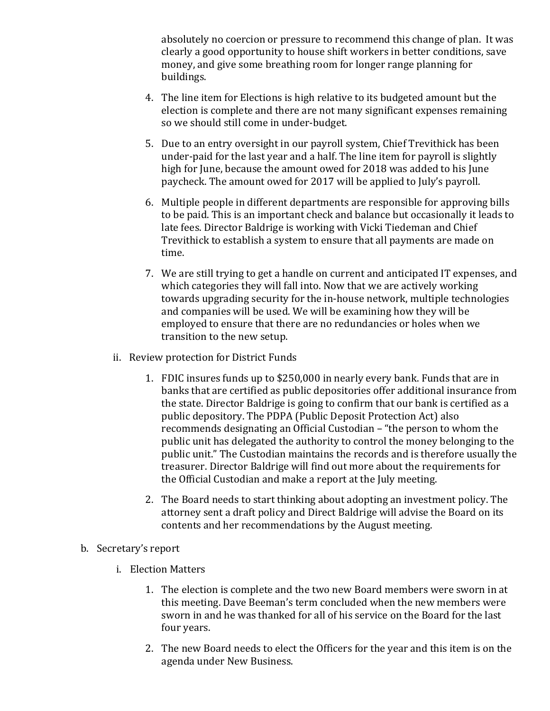absolutely no coercion or pressure to recommend this change of plan. It was clearly a good opportunity to house shift workers in better conditions, save money, and give some breathing room for longer range planning for buildings. 

- 4. The line item for Elections is high relative to its budgeted amount but the election is complete and there are not many significant expenses remaining so we should still come in under-budget.
- 5. Due to an entry oversight in our payroll system, Chief Trevithick has been under-paid for the last year and a half. The line item for payroll is slightly high for June, because the amount owed for 2018 was added to his June paycheck. The amount owed for 2017 will be applied to July's payroll.
- 6. Multiple people in different departments are responsible for approving bills to be paid. This is an important check and balance but occasionally it leads to late fees. Director Baldrige is working with Vicki Tiedeman and Chief Trevithick to establish a system to ensure that all payments are made on time.
- 7. We are still trying to get a handle on current and anticipated IT expenses, and which categories they will fall into. Now that we are actively working towards upgrading security for the in-house network, multiple technologies and companies will be used. We will be examining how they will be employed to ensure that there are no redundancies or holes when we transition to the new setup.
- ii. Review protection for District Funds
	- 1. FDIC insures funds up to \$250,000 in nearly every bank. Funds that are in banks that are certified as public depositories offer additional insurance from the state. Director Baldrige is going to confirm that our bank is certified as a public depository. The PDPA (Public Deposit Protection Act) also recommends designating an Official Custodian – "the person to whom the public unit has delegated the authority to control the money belonging to the public unit." The Custodian maintains the records and is therefore usually the treasurer. Director Baldrige will find out more about the requirements for the Official Custodian and make a report at the July meeting.
	- 2. The Board needs to start thinking about adopting an investment policy. The attorney sent a draft policy and Direct Baldrige will advise the Board on its contents and her recommendations by the August meeting.
- b. Secretary's report
	- i. Election Matters
		- 1. The election is complete and the two new Board members were sworn in at this meeting. Dave Beeman's term concluded when the new members were sworn in and he was thanked for all of his service on the Board for the last four years.
		- 2. The new Board needs to elect the Officers for the year and this item is on the agenda under New Business.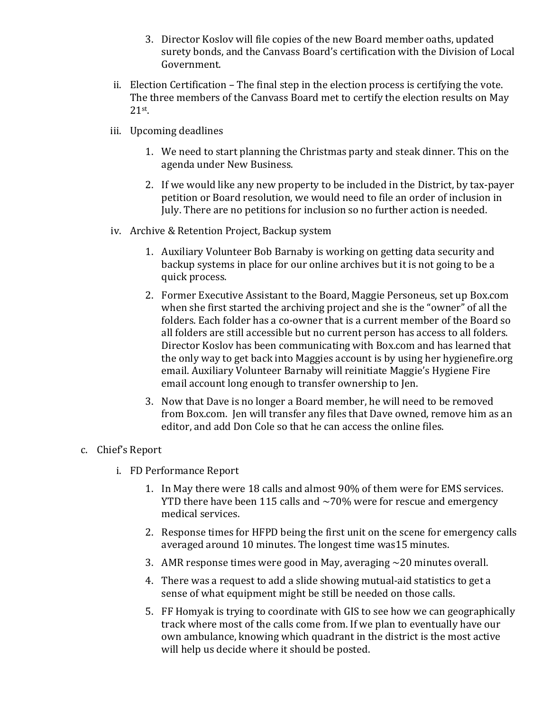- 3. Director Koslov will file copies of the new Board member oaths, updated surety bonds, and the Canvass Board's certification with the Division of Local Government.
- ii. Election Certification  $-$  The final step in the election process is certifying the vote. The three members of the Canvass Board met to certify the election results on May 21st.
- iii. Upcoming deadlines
	- 1. We need to start planning the Christmas party and steak dinner. This on the agenda under New Business.
	- 2. If we would like any new property to be included in the District, by tax-payer petition or Board resolution, we would need to file an order of inclusion in July. There are no petitions for inclusion so no further action is needed.
- iv. Archive & Retention Project, Backup system
	- 1. Auxiliary Volunteer Bob Barnaby is working on getting data security and backup systems in place for our online archives but it is not going to be a quick process.
	- 2. Former Executive Assistant to the Board, Maggie Personeus, set up Box.com when she first started the archiving project and she is the "owner" of all the folders. Each folder has a co-owner that is a current member of the Board so all folders are still accessible but no current person has access to all folders. Director Koslov has been communicating with Box.com and has learned that the only way to get back into Maggies account is by using her hygienefire.org email. Auxiliary Volunteer Barnaby will reinitiate Maggie's Hygiene Fire email account long enough to transfer ownership to Jen.
	- 3. Now that Dave is no longer a Board member, he will need to be removed from Box.com. Jen will transfer any files that Dave owned, remove him as an editor, and add Don Cole so that he can access the online files.

#### c. Chief's Report

- i. FD Performance Report
	- 1. In May there were 18 calls and almost 90% of them were for EMS services. YTD there have been 115 calls and  $\sim$ 70% were for rescue and emergency medical services.
	- 2. Response times for HFPD being the first unit on the scene for emergency calls averaged around 10 minutes. The longest time was15 minutes.
	- 3. AMR response times were good in May, averaging  $\sim$  20 minutes overall.
	- 4. There was a request to add a slide showing mutual-aid statistics to get a sense of what equipment might be still be needed on those calls.
	- 5. FF Homyak is trying to coordinate with GIS to see how we can geographically track where most of the calls come from. If we plan to eventually have our own ambulance, knowing which quadrant in the district is the most active will help us decide where it should be posted.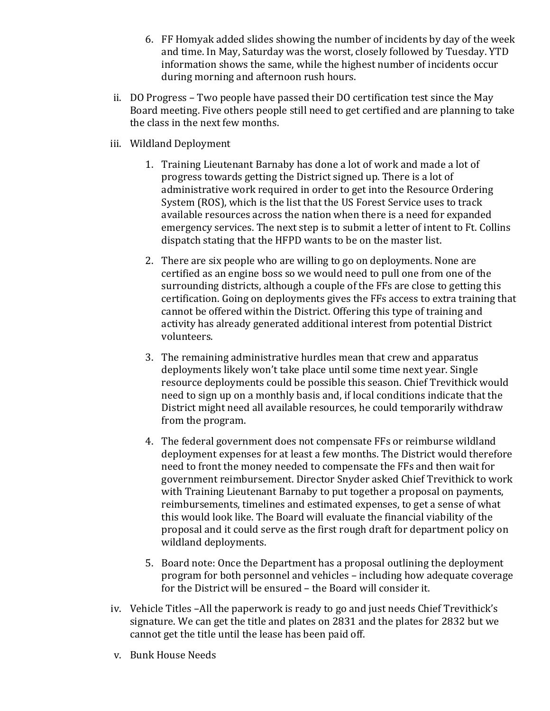- 6. FF Homyak added slides showing the number of incidents by day of the week and time. In May, Saturday was the worst, closely followed by Tuesday. YTD information shows the same, while the highest number of incidents occur during morning and afternoon rush hours.
- ii. DO Progress Two people have passed their DO certification test since the Mav Board meeting. Five others people still need to get certified and are planning to take the class in the next few months.
- iii. Wildland Deployment
	- 1. Training Lieutenant Barnaby has done a lot of work and made a lot of progress towards getting the District signed up. There is a lot of administrative work required in order to get into the Resource Ordering System (ROS), which is the list that the US Forest Service uses to track available resources across the nation when there is a need for expanded emergency services. The next step is to submit a letter of intent to Ft. Collins dispatch stating that the HFPD wants to be on the master list.
	- 2. There are six people who are willing to go on deployments. None are certified as an engine boss so we would need to pull one from one of the surrounding districts, although a couple of the FFs are close to getting this certification. Going on deployments gives the FFs access to extra training that cannot be offered within the District. Offering this type of training and activity has already generated additional interest from potential District volunteers.
	- 3. The remaining administrative hurdles mean that crew and apparatus deployments likely won't take place until some time next year. Single resource deployments could be possible this season. Chief Trevithick would need to sign up on a monthly basis and, if local conditions indicate that the District might need all available resources, he could temporarily withdraw from the program.
	- 4. The federal government does not compensate FFs or reimburse wildland deployment expenses for at least a few months. The District would therefore need to front the money needed to compensate the FFs and then wait for government reimbursement. Director Snyder asked Chief Trevithick to work with Training Lieutenant Barnaby to put together a proposal on payments, reimbursements, timelines and estimated expenses, to get a sense of what this would look like. The Board will evaluate the financial viability of the proposal and it could serve as the first rough draft for department policy on wildland deployments.
	- 5. Board note: Once the Department has a proposal outlining the deployment program for both personnel and vehicles – including how adequate coverage for the District will be ensured - the Board will consider it.
- iv. Vehicle Titles –All the paperwork is ready to go and just needs Chief Trevithick's signature. We can get the title and plates on 2831 and the plates for 2832 but we cannot get the title until the lease has been paid off.
- v. Bunk House Needs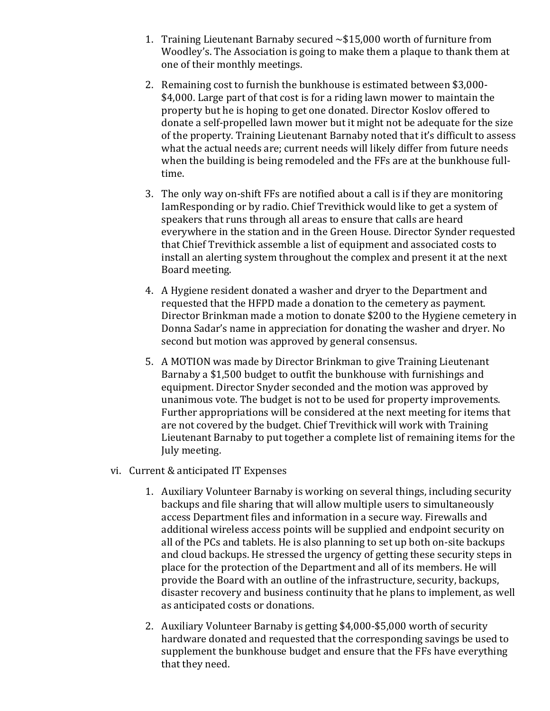- 1. Training Lieutenant Barnaby secured  $\sim $15,000$  worth of furniture from Woodley's. The Association is going to make them a plaque to thank them at one of their monthly meetings.
- 2. Remaining cost to furnish the bunkhouse is estimated between \$3,000-\$4,000. Large part of that cost is for a riding lawn mower to maintain the property but he is hoping to get one donated. Director Koslov offered to donate a self-propelled lawn mower but it might not be adequate for the size of the property. Training Lieutenant Barnaby noted that it's difficult to assess what the actual needs are; current needs will likely differ from future needs when the building is being remodeled and the FFs are at the bunkhouse fulltime.
- 3. The only way on-shift FFs are notified about a call is if they are monitoring IamResponding or by radio. Chief Trevithick would like to get a system of speakers that runs through all areas to ensure that calls are heard everywhere in the station and in the Green House. Director Synder requested that Chief Trevithick assemble a list of equipment and associated costs to install an alerting system throughout the complex and present it at the next Board meeting.
- 4. A Hygiene resident donated a washer and dryer to the Department and requested that the HFPD made a donation to the cemetery as payment. Director Brinkman made a motion to donate \$200 to the Hygiene cemetery in Donna Sadar's name in appreciation for donating the washer and dryer. No second but motion was approved by general consensus.
- 5. A MOTION was made by Director Brinkman to give Training Lieutenant Barnaby a \$1,500 budget to outfit the bunkhouse with furnishings and equipment. Director Snyder seconded and the motion was approved by unanimous vote. The budget is not to be used for property improvements. Further appropriations will be considered at the next meeting for items that are not covered by the budget. Chief Trevithick will work with Training Lieutenant Barnaby to put together a complete list of remaining items for the July meeting.
- vi. Current & anticipated IT Expenses
	- 1. Auxiliary Volunteer Barnaby is working on several things, including security backups and file sharing that will allow multiple users to simultaneously access Department files and information in a secure way. Firewalls and additional wireless access points will be supplied and endpoint security on all of the PCs and tablets. He is also planning to set up both on-site backups and cloud backups. He stressed the urgency of getting these security steps in place for the protection of the Department and all of its members. He will provide the Board with an outline of the infrastructure, security, backups, disaster recovery and business continuity that he plans to implement, as well as anticipated costs or donations.
	- 2. Auxiliary Volunteer Barnaby is getting \$4,000-\$5,000 worth of security hardware donated and requested that the corresponding savings be used to supplement the bunkhouse budget and ensure that the FFs have everything that they need.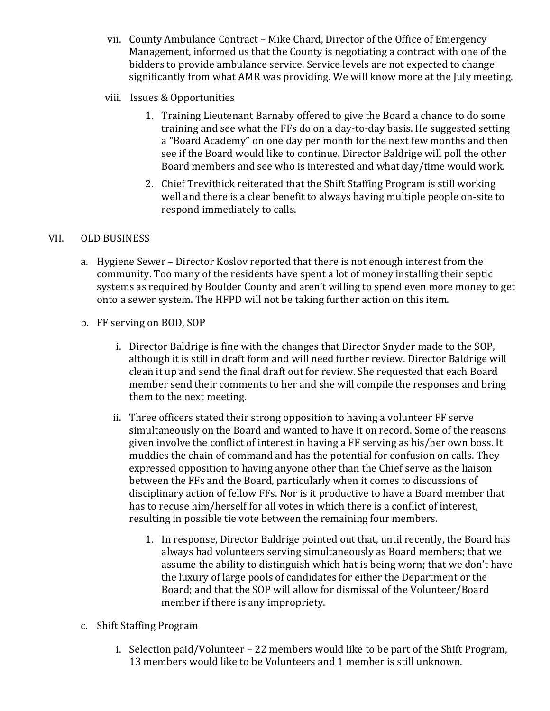- vii. County Ambulance Contract Mike Chard, Director of the Office of Emergency Management, informed us that the County is negotiating a contract with one of the bidders to provide ambulance service. Service levels are not expected to change significantly from what AMR was providing. We will know more at the July meeting.
- viii. Issues & Opportunities
	- 1. Training Lieutenant Barnaby offered to give the Board a chance to do some training and see what the FFs do on a day-to-day basis. He suggested setting a "Board Academy" on one day per month for the next few months and then see if the Board would like to continue. Director Baldrige will poll the other Board members and see who is interested and what day/time would work.
	- 2. Chief Trevithick reiterated that the Shift Staffing Program is still working well and there is a clear benefit to always having multiple people on-site to respond immediately to calls.

### VII. OLD BUSINESS

- a. Hygiene Sewer Director Koslov reported that there is not enough interest from the community. Too many of the residents have spent a lot of money installing their septic systems as required by Boulder County and aren't willing to spend even more money to get onto a sewer system. The HFPD will not be taking further action on this item.
- b. FF serving on BOD, SOP
	- i. Director Baldrige is fine with the changes that Director Snyder made to the SOP, although it is still in draft form and will need further review. Director Baldrige will clean it up and send the final draft out for review. She requested that each Board member send their comments to her and she will compile the responses and bring them to the next meeting.
	- ii. Three officers stated their strong opposition to having a volunteer FF serve simultaneously on the Board and wanted to have it on record. Some of the reasons given involve the conflict of interest in having a FF serving as his/her own boss. It muddies the chain of command and has the potential for confusion on calls. They expressed opposition to having anyone other than the Chief serve as the liaison between the FFs and the Board, particularly when it comes to discussions of disciplinary action of fellow FFs. Nor is it productive to have a Board member that has to recuse him/herself for all votes in which there is a conflict of interest, resulting in possible tie vote between the remaining four members.
		- 1. In response, Director Baldrige pointed out that, until recently, the Board has always had volunteers serving simultaneously as Board members; that we assume the ability to distinguish which hat is being worn; that we don't have the luxury of large pools of candidates for either the Department or the Board; and that the SOP will allow for dismissal of the Volunteer/Board member if there is any impropriety.
- c. Shift Staffing Program
	- i. Selection paid/Volunteer  $-22$  members would like to be part of the Shift Program, 13 members would like to be Volunteers and 1 member is still unknown.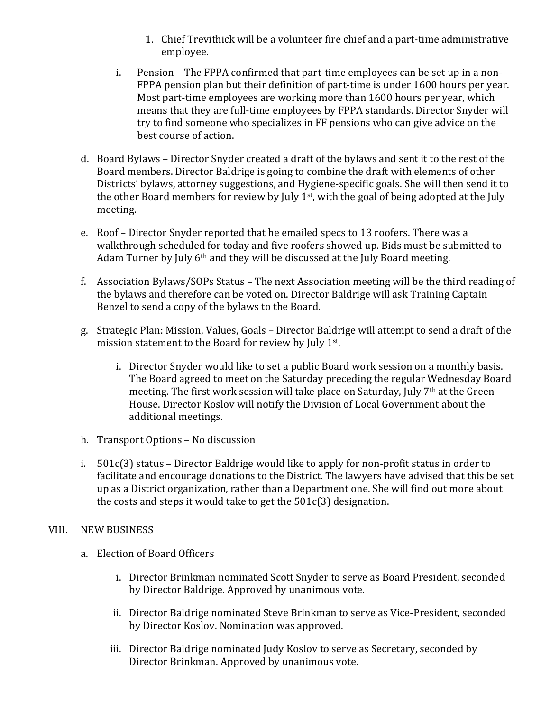- 1. Chief Trevithick will be a volunteer fire chief and a part-time administrative employee.
- i. Pension The FPPA confirmed that part-time employees can be set up in a non-FPPA pension plan but their definition of part-time is under 1600 hours per year. Most part-time employees are working more than 1600 hours per year, which means that they are full-time employees by FPPA standards. Director Snyder will try to find someone who specializes in FF pensions who can give advice on the best course of action.
- d. Board Bylaws Director Snyder created a draft of the bylaws and sent it to the rest of the Board members. Director Baldrige is going to combine the draft with elements of other Districts' bylaws, attorney suggestions, and Hygiene-specific goals. She will then send it to the other Board members for review by July  $1<sup>st</sup>$ , with the goal of being adopted at the July meeting.
- e. Roof Director Snyder reported that he emailed specs to 13 roofers. There was a walkthrough scheduled for today and five roofers showed up. Bids must be submitted to Adam Turner by July  $6<sup>th</sup>$  and they will be discussed at the July Board meeting.
- f. Association Bylaws/SOPs Status The next Association meeting will be the third reading of the bylaws and therefore can be voted on. Director Baldrige will ask Training Captain Benzel to send a copy of the bylaws to the Board.
- g. Strategic Plan: Mission, Values, Goals Director Baldrige will attempt to send a draft of the mission statement to the Board for review by July  $1<sup>st</sup>$ .
	- i. Director Snyder would like to set a public Board work session on a monthly basis. The Board agreed to meet on the Saturday preceding the regular Wednesday Board meeting. The first work session will take place on Saturday, July  $7<sup>th</sup>$  at the Green House. Director Koslov will notify the Division of Local Government about the additional meetings.
- h. Transport Options No discussion
- i.  $501c(3)$  status Director Baldrige would like to apply for non-profit status in order to facilitate and encourage donations to the District. The lawyers have advised that this be set up as a District organization, rather than a Department one. She will find out more about the costs and steps it would take to get the  $501c(3)$  designation.

#### VIII. NEW BUSINESS

- a. Election of Board Officers
	- i. Director Brinkman nominated Scott Snyder to serve as Board President, seconded by Director Baldrige. Approved by unanimous vote.
	- ii. Director Baldrige nominated Steve Brinkman to serve as Vice-President, seconded by Director Koslov. Nomination was approved.
	- iii. Director Baldrige nominated Judy Koslov to serve as Secretary, seconded by Director Brinkman. Approved by unanimous vote.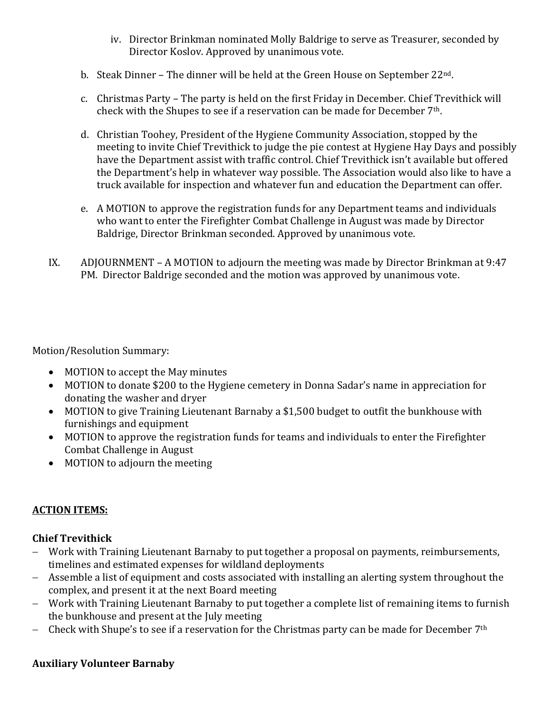- iv. Director Brinkman nominated Molly Baldrige to serve as Treasurer, seconded by Director Koslov. Approved by unanimous vote.
- b. Steak Dinner The dinner will be held at the Green House on September  $22^{\text{nd}}$ .
- c. Christmas Party The party is held on the first Friday in December. Chief Trevithick will check with the Shupes to see if a reservation can be made for December  $7<sup>th</sup>$ .
- d. Christian Toohey, President of the Hygiene Community Association, stopped by the meeting to invite Chief Trevithick to judge the pie contest at Hygiene Hay Days and possibly have the Department assist with traffic control. Chief Trevithick isn't available but offered the Department's help in whatever way possible. The Association would also like to have a truck available for inspection and whatever fun and education the Department can offer.
- e. A MOTION to approve the registration funds for any Department teams and individuals who want to enter the Firefighter Combat Challenge in August was made by Director Baldrige, Director Brinkman seconded. Approved by unanimous vote.
- IX. ADJOURNMENT A MOTION to adjourn the meeting was made by Director Brinkman at 9:47 PM. Director Baldrige seconded and the motion was approved by unanimous vote.

Motion/Resolution Summary:

- MOTION to accept the May minutes
- MOTION to donate \$200 to the Hygiene cemetery in Donna Sadar's name in appreciation for donating the washer and dryer
- MOTION to give Training Lieutenant Barnaby a \$1,500 budget to outfit the bunkhouse with furnishings and equipment
- MOTION to approve the registration funds for teams and individuals to enter the Firefighter Combat Challenge in August
- MOTION to adjourn the meeting

# **ACTION ITEMS:**

# **Chief Trevithick**

- Work with Training Lieutenant Barnaby to put together a proposal on payments, reimbursements, timelines and estimated expenses for wildland deployments
- Assemble a list of equipment and costs associated with installing an alerting system throughout the complex, and present it at the next Board meeting
- Work with Training Lieutenant Barnaby to put together a complete list of remaining items to furnish the bunkhouse and present at the July meeting
- Check with Shupe's to see if a reservation for the Christmas party can be made for December  $7<sup>th</sup>$

#### **Auxiliary Volunteer Barnaby**